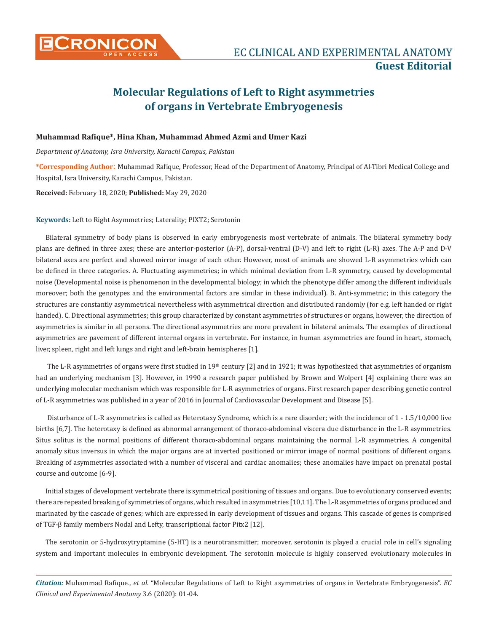

## **Molecular Regulations of Left to Right asymmetries of organs in Vertebrate Embryogenesis**

## **Muhammad Rafique\*, Hina Khan, Muhammad Ahmed Azmi and Umer Kazi**

*Department of Anatomy, Isra University, Karachi Campus, Pakistan*

**\*Corresponding Author**: Muhammad Rafique, Professor, Head of the Department of Anatomy, Principal of Al-Tibri Medical College and Hospital, Isra University, Karachi Campus, Pakistan.

**Received:** February 18, 2020; **Published:** May 29, 2020

**Keywords:** Left to Right Asymmetries; Laterality; PIXT2; Serotonin

Bilateral symmetry of body plans is observed in early embryogenesis most vertebrate of animals. The bilateral symmetry body plans are defined in three axes; these are anterior-posterior (A-P), dorsal-ventral (D-V) and left to right (L-R) axes. The A-P and D-V bilateral axes are perfect and showed mirror image of each other. However, most of animals are showed L-R asymmetries which can be defined in three categories. A. Fluctuating asymmetries; in which minimal deviation from L-R symmetry, caused by developmental noise (Developmental noise is phenomenon in the developmental biology; in which the phenotype differ among the different individuals moreover; both the genotypes and the environmental factors are similar in these individual). B. Anti-symmetric; in this category the structures are constantly asymmetrical nevertheless with asymmetrical direction and distributed randomly (for e.g. left handed or right handed). C. Directional asymmetries; this group characterized by constant asymmetries of structures or organs, however, the direction of asymmetries is similar in all persons. The directional asymmetries are more prevalent in bilateral animals. The examples of directional asymmetries are pavement of different internal organs in vertebrate. For instance, in human asymmetries are found in heart, stomach, liver, spleen, right and left lungs and right and left-brain hemispheres [1].

The L-R asymmetries of organs were first studied in  $19<sup>th</sup>$  century [2] and in 1921; it was hypothesized that asymmetries of organism had an underlying mechanism [3]. However, in 1990 a research paper published by Brown and Wolpert [4] explaining there was an underlying molecular mechanism which was responsible for L-R asymmetries of organs. First research paper describing genetic control of L-R asymmetries was published in a year of 2016 in Journal of Cardiovascular Development and Disease [5].

 Disturbance of L-R asymmetries is called as Heterotaxy Syndrome, which is a rare disorder; with the incidence of 1 - 1.5/10,000 live births [6,7]. The heterotaxy is defined as abnormal arrangement of thoraco-abdominal viscera due disturbance in the L-R asymmetries. Situs solitus is the normal positions of different thoraco-abdominal organs maintaining the normal L-R asymmetries. A congenital anomaly situs inversus in which the major organs are at inverted positioned or mirror image of normal positions of different organs. Breaking of asymmetries associated with a number of visceral and cardiac anomalies; these anomalies have impact on prenatal postal course and outcome [6-9].

Initial stages of development vertebrate there is symmetrical positioning of tissues and organs. Due to evolutionary conserved events; there are repeated breaking of symmetries of organs, which resulted in asymmetries [10,11]. The L-R asymmetries of organs produced and marinated by the cascade of genes; which are expressed in early development of tissues and organs. This cascade of genes is comprised of TGF-β family members Nodal and Lefty, transcriptional factor Pitx2 [12].

The serotonin or 5-hydroxytryptamine (5-HT) is a neurotransmitter; moreover, serotonin is played a crucial role in cell's signaling system and important molecules in embryonic development. The serotonin molecule is highly conserved evolutionary molecules in

*Citation:* Muhammad Rafique., *et al*. "Molecular Regulations of Left to Right asymmetries of organs in Vertebrate Embryogenesis". *EC Clinical and Experimental Anatomy* 3.6 (2020): 01-04.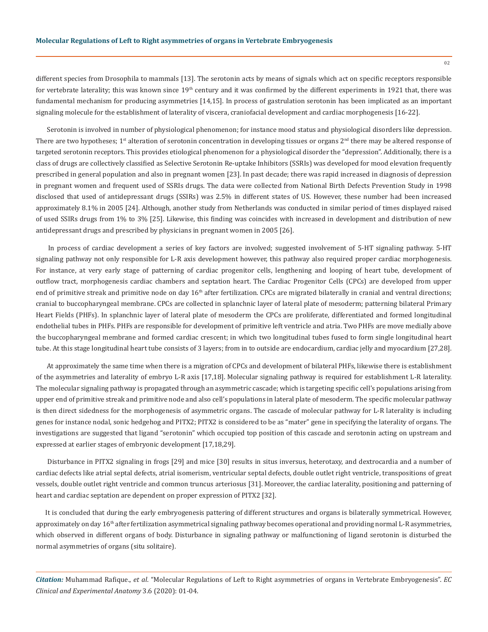different species from Drosophila to mammals [13]. The serotonin acts by means of signals which act on specific receptors responsible for vertebrate laterality; this was known since  $19<sup>th</sup>$  century and it was confirmed by the different experiments in 1921 that, there was fundamental mechanism for producing asymmetries [14,15]. In process of gastrulation serotonin has been implicated as an important signaling molecule for the establishment of laterality of viscera, craniofacial development and cardiac morphogenesis [16-22].

 Serotonin is involved in number of physiological phenomenon; for instance mood status and physiological disorders like depression. There are two hypotheses;  $1<sup>st</sup>$  alteration of serotonin concentration in developing tissues or organs  $2<sup>nd</sup>$  there may be altered response of targeted serotonin receptors. This provides etiological phenomenon for a physiological disorder the "depression". Additionally, there is a class of drugs are collectively classified as Selective Serotonin Re-uptake Inhibitors (SSRIs) was developed for mood elevation frequently prescribed in general population and also in pregnant women [23]. In past decade; there was rapid increased in diagnosis of depression in pregnant women and frequent used of SSRIs drugs. The data were collected from National Birth Defects Prevention Study in 1998 disclosed that used of antidepressant drugs (SSIRs) was 2.5% in different states of US. However, these number had been increased approximately 8.1% in 2005 [24]. Although, another study from Netherlands was conducted in similar period of times displayed raised of used SSIRs drugs from 1% to 3% [25]. Likewise, this finding was coincides with increased in development and distribution of new antidepressant drugs and prescribed by physicians in pregnant women in 2005 [26].

 In process of cardiac development a series of key factors are involved; suggested involvement of 5-HT signaling pathway. 5-HT signaling pathway not only responsible for L-R axis development however, this pathway also required proper cardiac morphogenesis. For instance, at very early stage of patterning of cardiac progenitor cells, lengthening and looping of heart tube, development of outflow tract, morphogenesis cardiac chambers and septation heart. The Cardiac Progenitor Cells (CPCs) are developed from upper end of primitive streak and primitive node on day  $16<sup>th</sup>$  after fertilization. CPCs are migrated bilaterally in cranial and ventral directions; cranial to buccopharyngeal membrane. CPCs are collected in splanchnic layer of lateral plate of mesoderm; patterning bilateral Primary Heart Fields (PHFs). In splanchnic layer of lateral plate of mesoderm the CPCs are proliferate, differentiated and formed longitudinal endothelial tubes in PHFs. PHFs are responsible for development of primitive left ventricle and atria. Two PHFs are move medially above the buccopharyngeal membrane and formed cardiac crescent; in which two longitudinal tubes fused to form single longitudinal heart tube. At this stage longitudinal heart tube consists of 3 layers; from in to outside are endocardium, cardiac jelly and myocardium [27,28].

 At approximately the same time when there is a migration of CPCs and development of bilateral PHFs, likewise there is establishment of the asymmetries and laterality of embryo L-R axis [17,18]. Molecular signaling pathway is required for establishment L-R laterality. The molecular signaling pathway is propagated through an asymmetric cascade; which is targeting specific cell's populations arising from upper end of primitive streak and primitive node and also cell's populations in lateral plate of mesoderm. The specific molecular pathway is then direct sidedness for the morphogenesis of asymmetric organs. The cascade of molecular pathway for L-R laterality is including genes for instance nodal, sonic hedgehog and PITX2; PITX2 is considered to be as "mater" gene in specifying the laterality of organs. The investigations are suggested that ligand "serotonin" which occupied top position of this cascade and serotonin acting on upstream and expressed at earlier stages of embryonic development [17,18,29].

 Disturbance in PITX2 signaling in frogs [29] and mice [30] results in situs inversus, heterotaxy, and dextrocardia and a number of cardiac defects like atrial septal defects, atrial isomerism, ventricular septal defects, double outlet right ventricle, transpositions of great vessels, double outlet right ventricle and common truncus arteriosus [31]. Moreover, the cardiac laterality, positioning and patterning of heart and cardiac septation are dependent on proper expression of PITX2 [32].

It is concluded that during the early embryogenesis pattering of different structures and organs is bilaterally symmetrical. However, approximately on day 16<sup>th</sup> after fertilization asymmetrical signaling pathway becomes operational and providing normal L-R asymmetries, which observed in different organs of body. Disturbance in signaling pathway or malfunctioning of ligand serotonin is disturbed the normal asymmetries of organs (situ solitaire).

*Citation:* Muhammad Rafique., *et al*. "Molecular Regulations of Left to Right asymmetries of organs in Vertebrate Embryogenesis". *EC Clinical and Experimental Anatomy* 3.6 (2020): 01-04.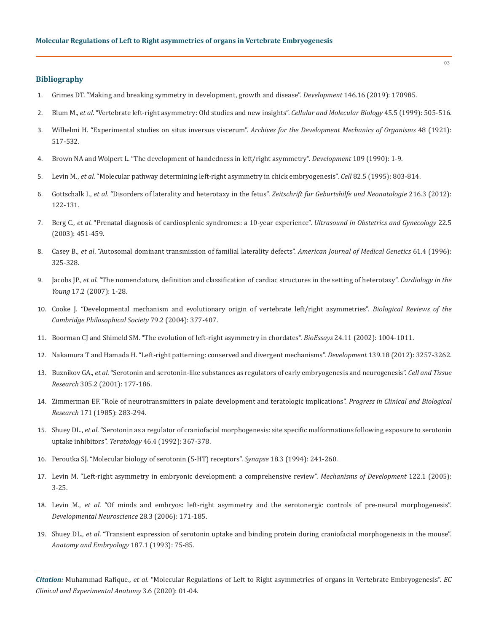## **Bibliography**

- 1. [Grimes DT. "Making and breaking symmetry in development, growth and disease".](https://www.ncbi.nlm.nih.gov/pubmed/31416929) *Development* 146.16 (2019): 170985.
- 2. Blum M., *et al*[. "Vertebrate left-right asymmetry: Old studies and new insights".](https://www.ncbi.nlm.nih.gov/pubmed/10512183) *Cellular and Molecular Biology* 45.5 (1999): 505-516.
- 3. Wilhelmi H. "Experimental studies on situs inversus viscerum". *Archives for the Development Mechanics of Organisms* 48 (1921): 517-532.
- 4. [Brown NA and Wolpert L. "The development of handedness in left/right asymmetry".](https://www.ncbi.nlm.nih.gov/pubmed/2209459) *Development* 109 (1990): 1-9.
- 5. Levin M., *et al*[. "Molecular pathway determining left-right asymmetry in chick embryogenesis".](https://www.ncbi.nlm.nih.gov/pubmed/7671308) *Cell* 82.5 (1995): 803-814.
- 6. Gottschalk I., *et al*[. "Disorders of laterality and heterotaxy in the fetus".](https://www.ncbi.nlm.nih.gov/pubmed/22825760) *Zeitschrift fur Geburtshilfe und Neonatologie* 216.3 (2012): [122-131.](https://www.ncbi.nlm.nih.gov/pubmed/22825760)
- 7. Berg C., *et al*[. "Prenatal diagnosis of cardiosplenic syndromes: a 10-year experience".](https://www.ncbi.nlm.nih.gov/pubmed/14618656) *Ultrasound in Obstetrics and Gynecology* 22.5 [\(2003\): 451-459.](https://www.ncbi.nlm.nih.gov/pubmed/14618656)
- 8. Casey B., *et al*[. "Autosomal dominant transmission of familial laterality defects".](https://www.ncbi.nlm.nih.gov/pubmed/8834043) *American Journal of Medical Genetics* 61.4 (1996): [325-328.](https://www.ncbi.nlm.nih.gov/pubmed/8834043)
- 9. Jacobs JP., *et al*[. "The nomenclature, definition and classification of cardiac structures in the setting of heterotaxy".](https://www.ncbi.nlm.nih.gov/pubmed/18039396) *Cardiology in the Young* [17.2 \(2007\): 1-28.](https://www.ncbi.nlm.nih.gov/pubmed/18039396)
- 10. [Cooke J. "Developmental mechanism and evolutionary origin of vertebrate left/right asymmetries".](https://www.ncbi.nlm.nih.gov/pubmed/15191229) *Biological Reviews of the [Cambridge Philosophical Society](https://www.ncbi.nlm.nih.gov/pubmed/15191229)* 79.2 (2004): 377-407.
- 11. [Boorman CJ and Shimeld SM. "The evolution of left-right asymmetry in chordates".](https://www.ncbi.nlm.nih.gov/pubmed/12386931) *BioEssays* 24.11 (2002): 1004-1011.
- 12. [Nakamura T and Hamada H. "Left-right patterning: conserved and divergent mechanisms".](https://www.ncbi.nlm.nih.gov/pubmed/22912409) *Development* 139.18 (2012): 3257-3262.
- 13. Buznikov GA., *et al*[. "Serotonin and serotonin-like substances as regulators of early embryogenesis and neurogenesis".](https://www.ncbi.nlm.nih.gov/pubmed/11545255) *Cell and Tissue Research* [305.2 \(2001\): 177-186.](https://www.ncbi.nlm.nih.gov/pubmed/11545255)
- 14. [Zimmerman EF. "Role of neurotransmitters in palate development and teratologic implications".](https://www.ncbi.nlm.nih.gov/pubmed/2858863) *Progress in Clinical and Biological Research* [171 \(1985\): 283-294.](https://www.ncbi.nlm.nih.gov/pubmed/2858863)
- 15. Shuey DL., *et al*[. "Serotonin as a regulator of craniofacial morphogenesis: site specific malformations following exposure to serotonin](https://www.ncbi.nlm.nih.gov/pubmed/1412065)  uptake inhibitors". *Teratology* [46.4 \(1992\): 367-378.](https://www.ncbi.nlm.nih.gov/pubmed/1412065)
- 16. [Peroutka SJ. "Molecular biology of serotonin \(5-HT\) receptors".](https://www.ncbi.nlm.nih.gov/pubmed/7855737) *Synapse* 18.3 (1994): 241-260.
- 17. [Levin M. "Left-right asymmetry in embryonic development: a comprehensive review".](https://www.ncbi.nlm.nih.gov/pubmed/15582774) *Mechanisms of Development* 122.1 (2005): [3-25.](https://www.ncbi.nlm.nih.gov/pubmed/15582774)
- 18. Levin M., *et al*[. "Of minds and embryos: left-right asymmetry and the serotonergic controls of pre-neural morphogenesis".](https://www.ncbi.nlm.nih.gov/pubmed/16679764)  *[Developmental Neuroscience](https://www.ncbi.nlm.nih.gov/pubmed/16679764)* 28.3 (2006): 171-185.
- 19. Shuey DL., *et al*[. "Transient expression of serotonin uptake and binding protein during craniofacial morphogenesis in the mouse".](https://www.ncbi.nlm.nih.gov/pubmed/8430902)  *[Anatomy and Embryology](https://www.ncbi.nlm.nih.gov/pubmed/8430902)* 187.1 (1993): 75-85.

*Citation:* Muhammad Rafique., *et al*. "Molecular Regulations of Left to Right asymmetries of organs in Vertebrate Embryogenesis". *EC Clinical and Experimental Anatomy* 3.6 (2020): 01-04.